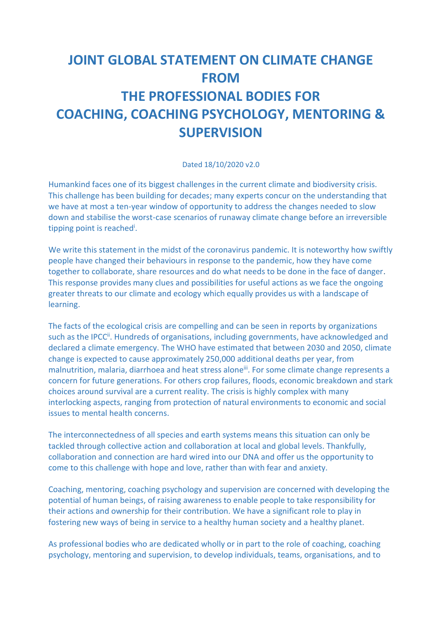## **JOINT GLOBAL STATEMENT ON CLIMATE CHANGE FROM THE PROFESSIONAL BODIES FOR COACHING, COACHING PSYCHOLOGY, MENTORING & SUPERVISION**

## Dated 18/10/2020 v2.0

Humankind faces one of its biggest challenges in the current climate and biodiversity crisis. This challenge has been building for decades; many experts concur on the understanding that we have at most a ten-year window of opportunity to address the changes needed to slow down and stabilise the worst-case scenarios of runaway climate change before an irreversible tipping point is reached<sup>i</sup>.

We write this statement in the midst of the coronavirus pandemic. It is noteworthy how swiftly people have changed their behaviours in response to the pandemic, how they have come together to collaborate, share resources and do what needs to be done in the face of danger. This response provides many clues and possibilities for useful actions as we face the ongoing greater threats to our climate and ecology which equally provides us with a landscape of learning.

The facts of the ecological crisis are compelling and can be seen in reports by organizations such as the IPCC<sup>ii</sup>. Hundreds of organisations, including governments, have acknowledged and declared a climate emergency. The WHO have estimated that between 2030 and 2050, climate change is expected to cause approximately 250,000 additional deaths per year, from malnutrition, malaria, diarrhoea and heat stress alone<sup>iii</sup>. For some climate change represents a concern for future generations. For others crop failures, floods, economic breakdown and stark choices around survival are a current reality. The crisis is highly complex with many interlocking aspects, ranging from protection of natural environments to economic and social issues to mental health concerns.

The interconnectedness of all species and earth systems means this situation can only be tackled through collective action and collaboration at local and global levels. Thankfully, collaboration and connection are hard wired into our DNA and offer us the opportunity to come to this challenge with hope and love, rather than with fear and anxiety.

Coaching, mentoring, coaching psychology and supervision are concerned with developing the potential of human beings, of raising awareness to enable people to take responsibility for their actions and ownership for their contribution. We have a significant role to play in fostering new ways of being in service to a healthy human society and a healthy planet.

As professional bodies who are dedicated wholly or in part to the role of coaching, coaching psychology, mentoring and supervision, to develop individuals, teams, organisations, and to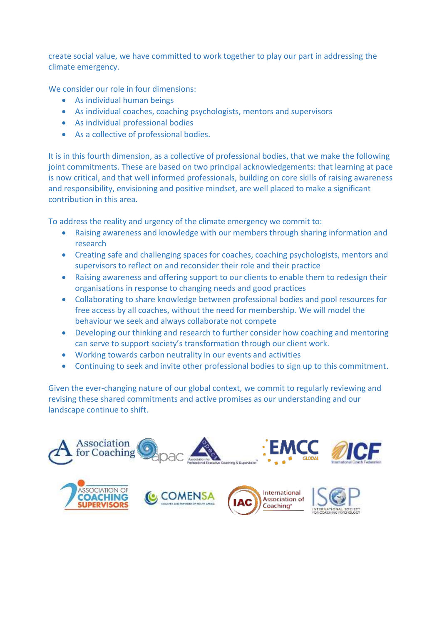create social value, we have committed to work together to play our part in addressing the climate emergency.

We consider our role in four dimensions:

- As individual human beings
- As individual coaches, coaching psychologists, mentors and supervisors
- As individual professional bodies
- As a collective of professional bodies.

It is in this fourth dimension, as a collective of professional bodies, that we make the following joint commitments. These are based on two principal acknowledgements: that learning at pace is now critical, and that well informed professionals, building on core skills of raising awareness and responsibility, envisioning and positive mindset, are well placed to make a significant contribution in this area.

To address the reality and urgency of the climate emergency we commit to:

- Raising awareness and knowledge with our members through sharing information and research
- Creating safe and challenging spaces for coaches, coaching psychologists, mentors and supervisors to reflect on and reconsider their role and their practice
- Raising awareness and offering support to our clients to enable them to redesign their organisations in response to changing needs and good practices
- Collaborating to share knowledge between professional bodies and pool resources for free access by all coaches, without the need for membership. We will model the behaviour we seek and always collaborate not compete
- Developing our thinking and research to further consider how coaching and mentoring can serve to support society's transformation through our client work.
- Working towards carbon neutrality in our events and activities
- Continuing to seek and invite other professional bodies to sign up to this commitment.

Given the ever-changing nature of our global context, we commit to regularly reviewing and revising these shared commitments and active promises as our understanding and our landscape continue to shift.